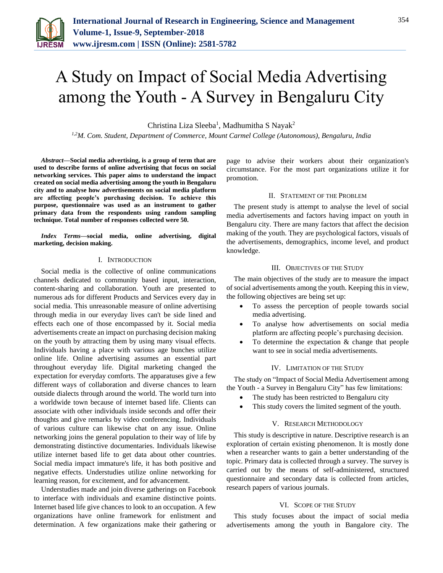

# A Study on Impact of Social Media Advertising among the Youth - A Survey in Bengaluru City

Christina Liza Sleeba<sup>1</sup>, Madhumitha S Nayak<sup>2</sup>

*1,2M. Com. Student, Department of Commerce, Mount Carmel College (Autonomous), Bengaluru, India*

*Abstract***—Social media advertising, is a group of term that are used to describe forms of online advertising that focus on social networking services. This paper aims to understand the impact created on social media advertising among the youth in Bengaluru city and to analyse how advertisements on social media platform are affecting people's purchasing decision. To achieve this purpose, questionnaire was used as an instrument to gather primary data from the respondents using random sampling technique. Total number of responses collected were 50.**

*Index Terms***—social media, online advertising, digital marketing, decision making.**

#### I. INTRODUCTION

Social media is the collective of online communications channels dedicated to community based input, interaction, content-sharing and collaboration. Youth are presented to numerous ads for different Products and Services every day in social media. This unreasonable measure of online advertising through media in our everyday lives can't be side lined and effects each one of those encompassed by it. Social media advertisements create an impact on purchasing decision making on the youth by attracting them by using many visual effects. Individuals having a place with various age bunches utilize online life. Online advertising assumes an essential part throughout everyday life. Digital marketing changed the expectation for everyday comforts. The apparatuses give a few different ways of collaboration and diverse chances to learn outside dialects through around the world. The world turn into a worldwide town because of internet based life. Clients can associate with other individuals inside seconds and offer their thoughts and give remarks by video conferencing. Individuals of various culture can likewise chat on any issue. Online networking joins the general population to their way of life by demonstrating distinctive documentaries. Individuals likewise utilize internet based life to get data about other countries. Social media impact immature's life, it has both positive and negative effects. Understudies utilize online networking for learning reason, for excitement, and for advancement.

Understudies made and join diverse gatherings on Facebook to interface with individuals and examine distinctive points. Internet based life give chances to look to an occupation. A few organizations have online framework for enlistment and determination. A few organizations make their gathering or page to advise their workers about their organization's circumstance. For the most part organizations utilize it for promotion.

#### II. STATEMENT OF THE PROBLEM

The present study is attempt to analyse the level of social media advertisements and factors having impact on youth in Bengaluru city. There are many factors that affect the decision making of the youth. They are psychological factors, visuals of the advertisements, demographics, income level, and product knowledge.

### III. OBJECTIVES OF THE STUDY

The main objectives of the study are to measure the impact of social advertisements among the youth. Keeping this in view, the following objectives are being set up:

- To assess the perception of people towards social media advertising.
- To analyse how advertisements on social media platform are affecting people's purchasing decision.
- To determine the expectation & change that people want to see in social media advertisements.

#### IV. LIMITATION OF THE STUDY

The study on "Impact of Social Media Advertisement among the Youth - a Survey in Bengaluru City" has few limitations:

- The study has been restricted to Bengaluru city
- This study covers the limited segment of the youth.

#### V. RESEARCH METHODOLOGY

This study is descriptive in nature. Descriptive research is an exploration of certain existing phenomenon. It is mostly done when a researcher wants to gain a better understanding of the topic. Primary data is collected through a survey. The survey is carried out by the means of self-administered, structured questionnaire and secondary data is collected from articles, research papers of various journals.

#### VI. SCOPE OF THE STUDY

This study focuses about the impact of social media advertisements among the youth in Bangalore city. The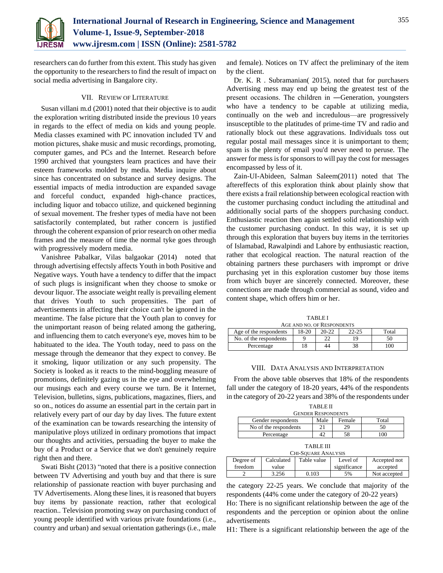

researchers can do further from this extent. This study has given the opportunity to the researchers to find the result of impact on social media advertising in Bangalore city.

## VII. REVIEW OF LITERATURE

Susan villani m.d (2001) noted that their objective is to audit the exploration writing distributed inside the previous 10 years in regards to the effect of media on kids and young people. Media classes examined with PC innovation included TV and motion pictures, shake music and music recordings, promoting, computer games, and PCs and the Internet. Research before 1990 archived that youngsters learn practices and have their esteem frameworks molded by media. Media inquire about since has concentrated on substance and survey designs. The essential impacts of media introduction are expanded savage and forceful conduct, expanded high-chance practices, including liquor and tobacco utilize, and quickened beginning of sexual movement. The fresher types of media have not been satisfactorily contemplated, but rather concern is justified through the coherent expansion of prior research on other media frames and the measure of time the normal tyke goes through with progressively modern media.

Vanishree Pabalkar, Vilas balgaokar (2014) noted that through advertising effectsly affects Youth in both Positive and Negative ways. Youth have a tendency to differ that the impact of such plugs is insignificant when they choose to smoke or devour liquor. The associate weight really is prevailing element that drives Youth to such propensities. The part of advertisements in affecting their choice can't be ignored in the meantime. The false picture that the Youth plan to convey for the unimportant reason of being related among the gathering, and influencing them to catch everyone's eye, moves him to be habituated to the idea. The Youth today, need to pass on the message through the demeanor that they expect to convey. Be it smoking, liquor utilization or any such propensity. The Society is looked as it reacts to the mind-boggling measure of promotions, definitely gazing us in the eye and overwhelming our musings each and every course we turn. Be it Internet, Television, bulletins, signs, publications, magazines, fliers, and so on., notices do assume an essential part in the certain part in relatively every part of our day by day lives. The future extent of the examination can be towards researching the intensity of manipulative ploys utilized in ordinary promotions that impact our thoughts and activities, persuading the buyer to make the buy of a Product or a Service that we don't genuinely require right then and there.

Swati Bisht (2013) "noted that there is a positive connection between TV Advertising and youth buy and that there is sure relationship of passionate reaction with buyer purchasing and TV Advertisements. Along these lines, it is reasoned that buyers buy items by passionate reaction, rather that ecological reaction.. Television promoting sway on purchasing conduct of young people identified with various private foundations (i.e., country and urban) and sexual orientation gatherings (i.e., male

and female). Notices on TV affect the preliminary of the item by the client.

Dr. K. R . Subramanian( 2015), noted that for purchasers Advertising mess may end up being the greatest test of the present occasions. The children in ―Generation, youngsters who have a tendency to be capable at utilizing media, continually on the web and incredulous—are progressively insusceptible to the platitudes of prime-time TV and radio and rationally block out these aggravations. Individuals toss out regular postal mail messages since it is unimportant to them; spam is the plenty of email you'd never need to peruse. The answer for mess is for sponsors to will pay the cost for messages encompassed by less of it.

Zain-UI-Abideen, Salman Saleem(2011) noted that The aftereffects of this exploration think about plainly show that there exists a frail relationship between ecological reaction with the customer purchasing conduct including the attitudinal and additionally social parts of the shoppers purchasing conduct. Enthusiastic reaction then again settled solid relationship with the customer purchasing conduct. In this way, it is set up through this exploration that buyers buy items in the territories of Islamabad, Rawalpindi and Lahore by enthusiastic reaction, rather that ecological reaction. The natural reaction of the obtaining partners these purchasers with imprompt or drive purchasing yet in this exploration customer buy those items from which buyer are sincerely connected. Moreover, these connections are made through commercial as sound, video and content shape, which offers him or her.

TABLE I

| AGE AND NO. OF RESPONDENTS |       |         |           |       |  |
|----------------------------|-------|---------|-----------|-------|--|
| Age of the respondents     | 18-20 | $20-22$ | $22 - 25$ | Total |  |
| No. of the respondents     |       |         |           | 50    |  |
| Percentage                 | 18    | 44      |           | 100   |  |

#### VIII. DATA ANALYSIS AND INTERPRETATION

From the above table observes that 18% of the respondents fall under the category of 18-20 years, 44% of the respondents in the category of 20-22 years and 38% of the respondents under

| <b>TABLE II</b>           |      |        |       |  |  |
|---------------------------|------|--------|-------|--|--|
| <b>GENDER RESPONDENTS</b> |      |        |       |  |  |
| Gender respondents        | Male | Female | Total |  |  |
| No of the respondents     |      | 29     |       |  |  |
| Percentage                |      |        |       |  |  |
|                           |      |        |       |  |  |

| I<br>\ RI<br>٦ |  |
|----------------|--|
|----------------|--|

| <b>CHI-SOUARE ANALYSIS</b> |            |             |              |              |  |
|----------------------------|------------|-------------|--------------|--------------|--|
| Degree of                  | Calculated | Table value | Level of     | Accepted not |  |
| freedom                    | value      |             | significance | accepted     |  |
|                            | 3.256      | 0.103       | 5%           | Not accepted |  |

the category 22-25 years. We conclude that majority of the respondents (44% come under the category of 20-22 years) Ho: There is no significant relationship between the age of the respondents and the perception or opinion about the online

H1: There is a significant relationship between the age of the

advertisements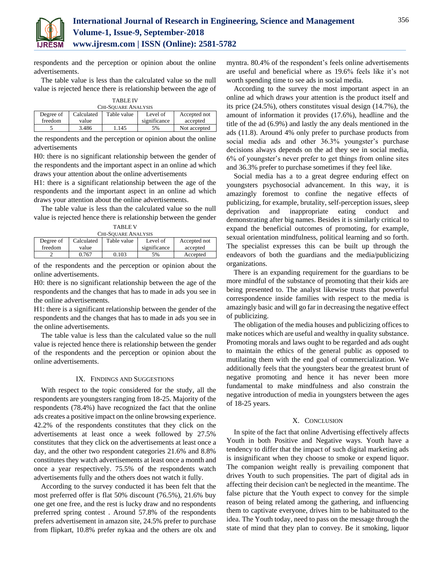

respondents and the perception or opinion about the online advertisements.

The table value is less than the calculated value so the null value is rejected hence there is relationship between the age of

| <b>TABLE IV</b> |  |
|-----------------|--|
|                 |  |

| <b>CHI-SQUARE ANALYSIS</b> |            |             |              |              |  |
|----------------------------|------------|-------------|--------------|--------------|--|
| Degree of                  | Calculated | Table value | Level of     | Accepted not |  |
| freedom                    | value      |             | significance | accepted     |  |
|                            | 3.486      | 1.145       | 5%           | Not accepted |  |

the respondents and the perception or opinion about the online advertisements

H0: there is no significant relationship between the gender of the respondents and the important aspect in an online ad which draws your attention about the online advertisements

H1: there is a significant relationship between the age of the respondents and the important aspect in an online ad which draws your attention about the online advertisements.

The table value is less than the calculated value so the null value is rejected hence there is relationship between the gender

| <b>TABLE V</b>      |  |
|---------------------|--|
| CHI-SQUARE ANALYSIS |  |

| CHI-ƏUUAKE AINAL I ƏIƏ |            |             |              |              |  |
|------------------------|------------|-------------|--------------|--------------|--|
| Degree of              | Calculated | Table value | Level of     | Accepted not |  |
| freedom                | value      |             | significance | accepted     |  |
|                        | 0.767      | 0.103       | 5%           | Accepted     |  |

of the respondents and the perception or opinion about the online advertisements.

H0: there is no significant relationship between the age of the respondents and the changes that has to made in ads you see in the online advertisements.

H1: there is a significant relationship between the gender of the respondents and the changes that has to made in ads you see in the online advertisements.

The table value is less than the calculated value so the null value is rejected hence there is relationship between the gender of the respondents and the perception or opinion about the online advertisements.

#### IX. FINDINGS AND SUGGESTIONS

With respect to the topic considered for the study, all the respondents are youngsters ranging from 18-25. Majority of the respondents (78.4%) have recognized the fact that the online ads creates a positive impact on the online browsing experience. 42.2% of the respondents constitutes that they click on the advertisements at least once a week followed by 27.5% constitutes that they click on the advertisements at least once a day, and the other two respondent categories 21.6% and 8.8% constitutes they watch advertisements at least once a month and once a year respectively. 75.5% of the respondents watch advertisements fully and the others does not watch it fully.

According to the survey conducted it has been felt that the most preferred offer is flat 50% discount (76.5%), 21.6% buy one get one free, and the rest is lucky draw and no respondents preferred spring contest . Around 57.8% of the respondents prefers advertisement in amazon site, 24.5% prefer to purchase from flipkart, 10.8% prefer nykaa and the others are olx and

myntra. 80.4% of the respondent's feels online advertisements are useful and beneficial where as 19.6% feels like it's not worth spending time to see ads in social media.

According to the survey the most important aspect in an online ad which draws your attention is the product itself and its price (24.5%), others constitutes visual design (14.7%), the amount of information it provides (17.6%), headline and the title of the ad (6.9%) and lastly the any deals mentioned in the ads (11.8). Around 4% only prefer to purchase products from social media ads and other 36.3% youngster's purchase decisions always depends on the ad they see in social media, 6% of youngster's never prefer to get things from online sites and 36.3% prefer to purchase sometimes if they feel like.

Social media has a to a great degree enduring effect on youngsters psychosocial advancement. In this way, it is amazingly foremost to confine the negative effects of publicizing, for example, brutality, self-perception issues, sleep deprivation and inappropriate eating conduct and demonstrating after big names. Besides it is similarly critical to expand the beneficial outcomes of promoting, for example, sexual orientation mindfulness, political learning and so forth. The specialist expresses this can be built up through the endeavors of both the guardians and the media/publicizing organizations.

There is an expanding requirement for the guardians to be more mindful of the substance of promoting that their kids are being presented to. The analyst likewise trusts that powerful correspondence inside families with respect to the media is amazingly basic and will go far in decreasing the negative effect of publicizing.

The obligation of the media houses and publicizing offices to make notices which are useful and wealthy in quality substance. Promoting morals and laws ought to be regarded and ads ought to maintain the ethics of the general public as opposed to mutilating them with the end goal of commercialization. We additionally feels that the youngsters bear the greatest brunt of negative promoting and hence it has never been more fundamental to make mindfulness and also constrain the negative introduction of media in youngsters between the ages of 18-25 years.

#### X. CONCLUSION

In spite of the fact that online Advertising effectively affects Youth in both Positive and Negative ways. Youth have a tendency to differ that the impact of such digital marketing ads is insignificant when they choose to smoke or expend liquor. The companion weight really is prevailing component that drives Youth to such propensities. The part of digital ads in affecting their decision can't be neglected in the meantime. The false picture that the Youth expect to convey for the simple reason of being related among the gathering, and influencing them to captivate everyone, drives him to be habituated to the idea. The Youth today, need to pass on the message through the state of mind that they plan to convey. Be it smoking, liquor